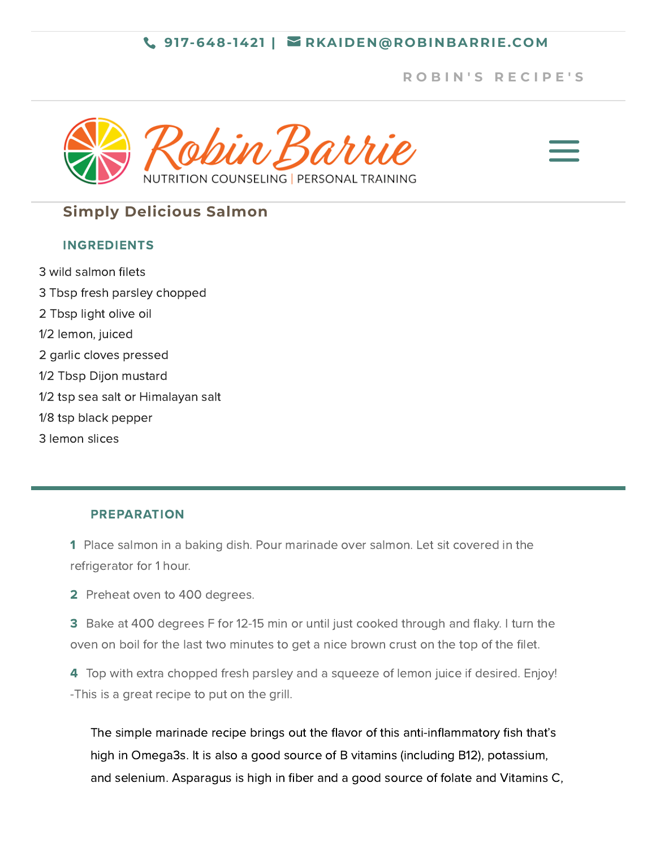## **917-648-1421 | [RKAIDEN@ROBINBARRIE.COM](mailto:rkaiden@robinbarrie.com)**

## **R [O](https://robinbarrie.com/recipes/) B I N ' S R E C I P E ' S**





# **Simply Delicious Salmon**

#### INGREDIENTS

3 wild salmon filets 3 Tbsp fresh parsley chopped 2 Tbsp light olive oil 1/2 lemon, juiced 2 garlic cloves pressed 1/2 Tbsp Dijon mustard 1/2 tsp sea salt or Himalayan salt

- 1/8 tsp black pepper
- 3 lemon slices

### PREPARATION

1 Place salmon in a baking dish. Pour marinade over salmon. Let sit covered in the refrigerator for 1 hour.

2 Preheat oven to 400 degrees.

3 Bake at 400 degrees F for 12-15 min or until just cooked through and flaky. I turn the oven on boil for the last two minutes to get a nice brown crust on the top of the filet.

4 Top with extra chopped fresh parsley and a squeeze of lemon juice if desired. Enjoy! -This is a great recipe to put on the grill.

The simple marinade recipe brings out the flavor of this anti-inflammatory fish that's high in Omega3s. It is also a good source of B vitamins (including B12), potassium, and selenium. Asparagus is high in fiber and a good source of folate and Vitamins C,